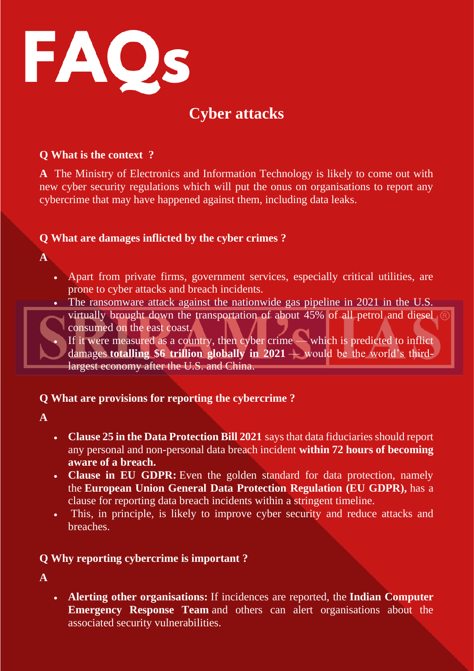

# **Cyber attacks**

#### **Q What is the context ?**

**A** The Ministry of Electronics and Information Technology is likely to come out with new cyber security regulations which will put the onus on organisations to report any cybercrime that may have happened against them, including data leaks.

## **Q What are damages inflicted by the cyber crimes ?**

**A** 

- Apart from private firms, government services, especially critical utilities, are prone to cyber attacks and breach incidents.
- The ransomware attack against the nationwide gas pipeline in 2021 in the U.S.
	- virtually brought down the transportation of about 45% of all petrol and diesel consumed on the east coast.

If it were measured as a country, then cyber crime — which is predicted to inflict damages **totalling \$6 trillion globally in 2021** — would be the world's thirdlargest economy after the U.S. and China.

## **Q What are provisions for reporting the cybercrime ?**

**A** 

- **Clause 25 in the Data Protection Bill 2021** says that data fiduciaries should report any personal and non-personal data breach incident **within 72 hours of becoming aware of a breach.**
- **Clause in EU GDPR:** Even the golden standard for data protection, namely the **European Union General Data Protection Regulation (EU GDPR),** has a clause for reporting data breach incidents within a stringent timeline.
- This, in principle, is likely to improve cyber security and reduce attacks and breaches.

## **Q Why reporting cybercrime is important ?**

**A** 

• **Alerting other organisations:** If incidences are reported, the **Indian Computer Emergency Response Team** and others can alert organisations about the associated security vulnerabilities.